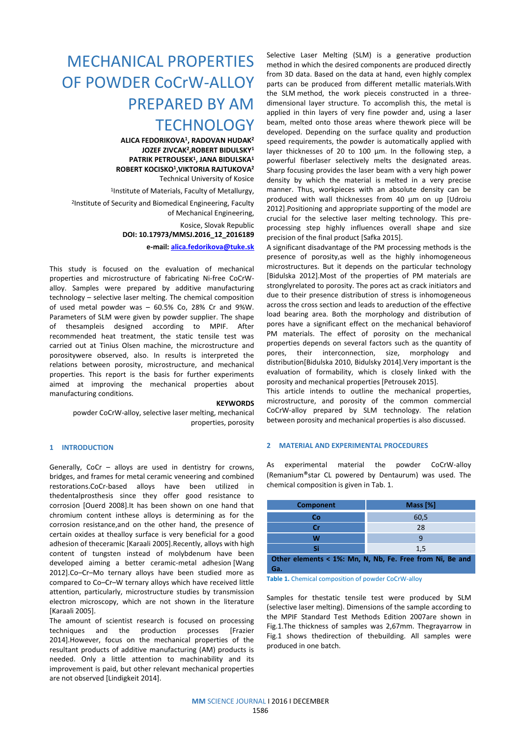# MECHANICAL PROPERTIES OF POWDER CoCrW-ALLOY PREPARED BY AM **TECHNOLOGY**

**ALICA FEDORIKOVA<sup>1</sup> , RADOVAN HUDAK 2 JOZEF ZIVCAK 2 ,ROBERT BIDULSKY<sup>1</sup> PATRIK PETROUSEK<sup>1</sup> , JANA BIDULSKA<sup>1</sup> ROBERT KOCISKO<sup>1</sup> ,VIKTORIA RAJTUKOVA<sup>2</sup>** Technical University of Kosice

1 Institute of Materials, Faculty of Metallurgy, 2 Institute of Security and Biomedical Engineering, Faculty of Mechanical Engineering, Kosice, Slovak Republic

**DOI: 10.17973/MMSJ.2016\_12\_2016189**

**e-mail: [alica.fedorikova@tuke.sk](mailto:alica.fedorikova@tuke.sk)**

This study is focused on the evaluation of mechanical properties and microstructure of fabricating Ni-free CoCrWalloy. Samples were prepared by additive manufacturing technology – selective laser melting. The chemical composition of used metal powder was – 60.5% Co, 28% Cr and 9%W. Parameters of SLM were given by powder supplier. The shape of thesampleis designed according to MPIF. After recommended heat treatment, the static tensile test was carried out at Tinius Olsen machine, the microstructure and porositywere observed, also. In results is interpreted the relations between porosity, microstructure, and mechanical properties. This report is the basis for further experiments aimed at improving the mechanical properties about manufacturing conditions.

#### **KEYWORDS**

powder CoCrW-alloy, selective laser melting, mechanical properties, porosity

## **1 INTRODUCTION**

Generally, CoCr – alloys are used in dentistry for crowns, bridges, and frames for metal ceramic veneering and combined restorations.CoCr-based alloys have been utilized in thedentalprosthesis since they offer good resistance to corrosion [Ouerd 2008].It has been shown on one hand that chromium content inthese alloys is determining as for the corrosion resistance,and on the other hand, the presence of certain oxides at thealloy surface is very beneficial for a good adhesion of theceramic [Karaali 2005].Recently, alloys with high content of tungsten instead of molybdenum have been developed aiming a better ceramic-metal adhesion [Wang 2012].Co–Cr–Mo ternary alloys have been studied more as compared to Co–Cr–W ternary alloys which have received little attention, particularly, microstructure studies by transmission electron microscopy, which are not shown in the literature [Karaali 2005].

The amount of scientist research is focused on processing techniques and the production processes [Frazier 2014].However, focus on the mechanical properties of the resultant products of additive manufacturing (AM) products is needed. Only a little attention to machinability and its improvement is paid, but other relevant mechanical properties are not observed [Lindigkeit 2014].

Selective Laser Melting (SLM) is a generative production method in which the desired components are produced directly from 3D data. Based on the data at hand, even highly complex parts can be produced from different metallic materials.With the SLM method, the work pieceis constructed in a threedimensional layer structure. To accomplish this, the metal is applied in thin layers of very fine powder and, using a laser beam, melted onto those areas where thework piece will be developed. Depending on the surface quality and production speed requirements, the powder is automatically applied with layer thicknesses of 20 to 100 µm. In the following step, a powerful fiberlaser selectively melts the designated areas. Sharp focusing provides the laser beam with a very high power density by which the material is melted in a very precise manner. Thus, workpieces with an absolute density can be produced with wall thicknesses from 40 µm on up [Udroiu 2012].Positioning and appropriate supporting of the model are crucial for the selective laser melting technology. This preprocessing step highly influences overall shape and size precision of the final product [Safka 2015].

A significant disadvantage of the PM processing methods is the presence of porosity,as well as the highly inhomogeneous microstructures. But it depends on the particular technology [Bidulska 2012].Most of the properties of PM materials are stronglyrelated to porosity. The pores act as crack initiators and due to their presence distribution of stress is inhomogeneous across the cross section and leads to areduction of the effective load bearing area. Both the morphology and distribution of pores have a significant effect on the mechanical behaviorof PM materials. The effect of porosity on the mechanical properties depends on several factors such as the quantity of pores, their interconnection, size, morphology and distribution[Bidulska 2010, Bidulsky 2014].Very important is the evaluation of formability, which is closely linked with the porosity and mechanical properties [Petrousek 2015].

This article intends to outline the mechanical properties, microstructure, and porosity of the common commercial CoCrW-alloy prepared by SLM technology. The relation between porosity and mechanical properties is also discussed.

#### **2 MATERIAL AND EXPERIMENTAL PROCEDURES**

As experimental material the powder CoCrW-alloy (Remanium®star CL powered by Dentaurum) was used. The chemical composition is given in Tab. 1.

| <b>Component</b>                                         | Mass [%] |  |
|----------------------------------------------------------|----------|--|
| Co                                                       | 60,5     |  |
| Cr                                                       | 28       |  |
| W                                                        |          |  |
| Si                                                       | 1,5      |  |
| Other elements < 1%: Mn, N, Nb, Fe. Free from Ni, Be and |          |  |
| Ga.                                                      |          |  |

**Table 1.** Chemical composition of powder CoCrW-alloy

Samples for thestatic tensile test were produced by SLM (selective laser melting). Dimensions of the sample according to the MPIF Standard Test Methods Edition 2007are shown in Fig.1.The thickness of samples was 2,67mm. Thegrayarrow in Fig.1 shows thedirection of thebuilding. All samples were produced in one batch.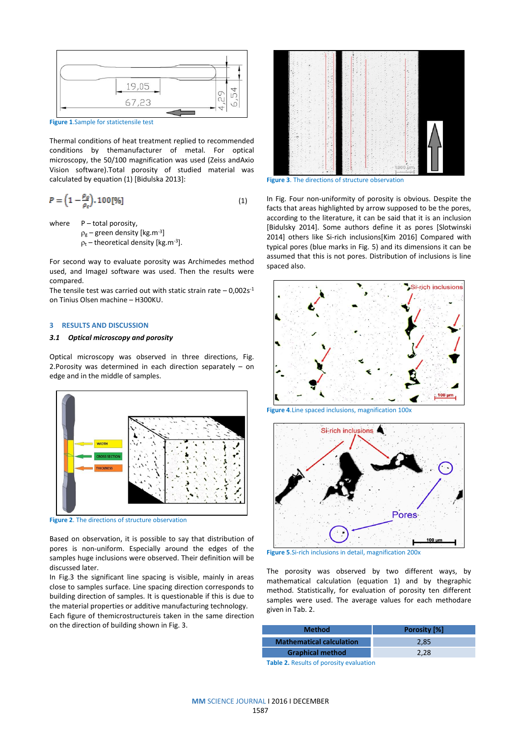

**Figure 1**.Sample for statictensile test

Thermal conditions of heat treatment replied to recommended conditions by themanufacturer of metal. For optical microscopy, the 50/100 magnification was used (Zeiss andAxio Vision software).Total porosity of studied material was calculated by equation (1) [Bidulska 2013]:

$$
P = \left(1 - \frac{\rho_g}{\rho_r}\right) \cdot 100\,\text{[%]}
$$
\n<sup>(1)</sup>

where  $P$  – total porosity,

 $\rho_{\rm g}$  – green density [kg.m<sup>-3</sup>]

 $p_t$  – theoretical density [kg.m<sup>-3</sup>].

For second way to evaluate porosity was Archimedes method used, and ImageJ software was used. Then the results were compared.

The tensile test was carried out with static strain rate  $-0.002s<sup>-1</sup>$ on Tinius Olsen machine – H300KU.

## **3 RESULTS AND DISCUSSION**

#### *3.1 Optical microscopy and porosity*

Optical microscopy was observed in three directions, Fig. 2.Porosity was determined in each direction separately – on edge and in the middle of samples.



**Figure 2**. The directions of structure observation

Based on observation, it is possible to say that distribution of pores is non-uniform. Especially around the edges of the samples huge inclusions were observed. Their definition will be discussed later.

In Fig.3 the significant line spacing is visible, mainly in areas close to samples surface. Line spacing direction corresponds to building direction of samples. It is questionable if this is due to the material properties or additive manufacturing technology.

Each figure of themicrostructureis taken in the same direction on the direction of building shown in Fig. 3.



**Figure 3**. The directions of structure observation

In Fig. Four non-uniformity of porosity is obvious. Despite the facts that areas highlighted by arrow supposed to be the pores, according to the literature, it can be said that it is an inclusion [Bidulsky 2014]. Some authors define it as pores [Slotwinski 2014] others like Si-rich inclusions[Kim 2016] Compared with typical pores (blue marks in Fig. 5) and its dimensions it can be assumed that this is not pores. Distribution of inclusions is line spaced also.







**Figure 5**.Si-rich inclusions in detail, magnification 200x

The porosity was observed by two different ways, by mathematical calculation (equation 1) and by thegraphic method. Statistically, for evaluation of porosity ten different samples were used. The average values for each methodare given in Tab. 2.

| <b>Method</b>                   | <b>Porosity [%]</b> |
|---------------------------------|---------------------|
| <b>Mathematical calculation</b> | 2.85                |
| <b>Graphical method</b>         | 2.28                |
|                                 |                     |

**Table 2.** Results of porosity evaluation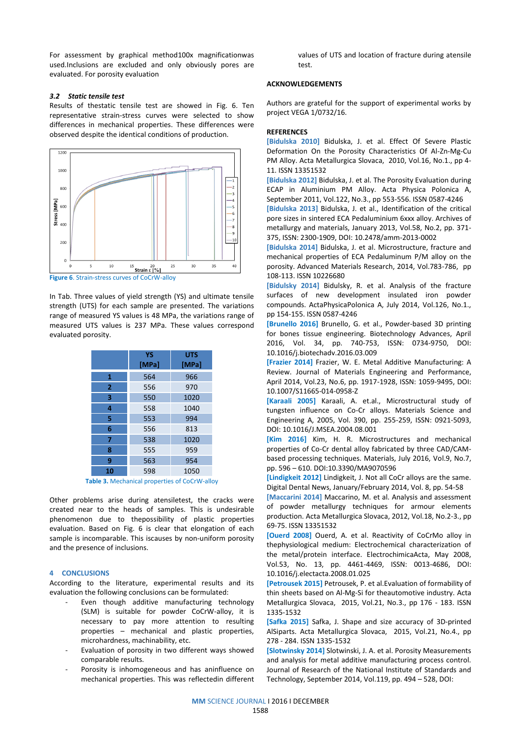For assessment by graphical method100x magnificationwas used.Inclusions are excluded and only obviously pores are evaluated. For porosity evaluation

#### *3.2 Static tensile test*

Results of thestatic tensile test are showed in Fig. 6. Ten representative strain-stress curves were selected to show differences in mechanical properties. These differences were observed despite the identical conditions of production.



**Figure 6**. Strain-stress curves of CoCrW-alloy

In Tab. Three values of yield strength (YS) and ultimate tensile strength (UTS) for each sample are presented. The variations range of measured YS values is 48 MPa, the variations range of measured UTS values is 237 MPa. These values correspond evaluated porosity.

|    | YS<br>[MPa] | <b>UTS</b><br>[MPa] |
|----|-------------|---------------------|
| 1  | 564         | 966                 |
| 2  | 556         | 970                 |
| 3  | 550         | 1020                |
| 4  | 558         | 1040                |
| 5  | 553         | 994                 |
| 6  | 556         | 813                 |
| 7  | 538         | 1020                |
| 8  | 555         | 959                 |
| 9  | 563         | 954                 |
| 10 | 598         | 1050                |

**Table 3.** Mechanical properties of CoCrW-alloy

Other problems arise during atensiletest, the cracks were created near to the heads of samples. This is undesirable phenomenon due to thepossibility of plastic properties evaluation. Based on Fig. 6 is clear that elongation of each sample is incomparable. This iscauses by non-uniform porosity and the presence of inclusions.

## **4 CONCLUSIONS**

According to the literature, experimental results and its evaluation the following conclusions can be formulated:

- Even though additive manufacturing technology (SLM) is suitable for powder CoCrW-alloy, it is necessary to pay more attention to resulting properties – mechanical and plastic properties, microhardness, machinability, etc.
- Evaluation of porosity in two different ways showed comparable results.
- Porosity is inhomogeneous and has aninfluence on mechanical properties. This was reflectedin different

values of UTS and location of fracture during atensile test.

## **ACKNOWLEDGEMENTS**

Authors are grateful for the support of experimental works by project VEGA 1/0732/16.

### **REFERENCES**

**[Bidulska 2010]** Bidulska, J. et al. Effect Of Severe Plastic Deformation On the Porosity Characteristics Of Al-Zn-Mg-Cu PM Alloy. Acta Metallurgica Slovaca, 2010, Vol.16, No.1., pp 4- 11. ISSN 13351532

**[Bidulska 2012]** Bidulska, J. et al. The Porosity Evaluation during ECAP in Aluminium PM Alloy. Acta Physica Polonica A, September 2011, Vol.122, No.3., pp 553-556. ISSN 0587-4246

**[Bidulska 2013]** Bidulska, J. et al., Identification of the critical pore sizes in sintered ECA Pedaluminium 6xxx alloy. Archives of metallurgy and materials, January 2013, Vol.58, No.2, pp. 371- 375, ISSN: 2300-1909, DOI: 10.2478/amm-2013-0002

**[Bidulska 2014]** Bidulska, J. et al. Microstructure, fracture and mechanical properties of ECA Pedaluminum P/M alloy on the porosity. Advanced Materials Research, 2014, Vol.783-786, pp 108-113. ISSN 10226680

**[Bidulsky 2014]** Bidulsky, R. et al. Analysis of the fracture surfaces of new development insulated iron powder compounds. ActaPhysicaPolonica A, July 2014, Vol.126, No.1., pp 154-155. ISSN 0587-4246

**[Brunello 2016]** Brunello, G. et al., Powder-based 3D printing for bones tissue engineering. Biotechnology Advances, April 2016, Vol. 34, pp. 740-753, ISSN: 0734-9750, DOI: 10.1016/j.biotechadv.2016.03.009

**[Frazier 2014]** Frazier, W. E. Metal Additive Manufacturing: A Review. Journal of Materials Engineering and Performance, April 2014, Vol.23, No.6, pp. 1917-1928, ISSN: 1059-9495, DOI: 10.1007/S11665-014-0958-Z

**[Karaali 2005]** Karaali, A. et.al., Microstructural study of tungsten influence on Co-Cr alloys. Materials Science and Engineering A, 2005, Vol. 390, pp. 255-259, ISSN: 0921-5093, DOI: 10.1016/J.MSEA.2004.08.001

**[Kim 2016]** Kim, H. R. Microstructures and mechanical properties of Co-Cr dental alloy fabricated by three CAD/CAMbased processing techniques. Materials, July 2016, Vol.9, No.7, pp. 596 – 610. DOI[:10.3390/MA9070596](http://dx.doi.org/10.3390/ma9070596)

**[Lindigkeit 2012]** Lindigkeit, J. Not all CoCr alloys are the same. Digital Dental News, January/February 2014, Vol. 8, pp. 54-58

**[Maccarini 2014]** Maccarino, M. et al. Analysis and assessment of powder metallurgy techniques for armour elements production. Acta Metallurgica Slovaca, 2012, Vol.18, No.2-3., pp 69-75. ISSN 13351532

**[Ouerd 2008]** Ouerd, A. et al. Reactivity of CoCrMo alloy in thephysiological medium: Electrochemical characterization of the metal/protein interface. ElectrochimicaActa, May 2008, Vol.53, No. 13, pp. 4461-4469, ISSN: 0013-4686, DOI: [10.1016/j.electacta.2008.01.025](http://dx.doi.org/10.1016/j.electacta.2008.01.025)

**[Petrousek 2015]** Petrousek, P. et al.Evaluation of formability of thin sheets based on Al-Mg-Si for theautomotive industry. Acta Metallurgica Slovaca, 2015, Vol.21, No.3., pp 176 - 183. ISSN 1335-1532

**[Safka 2015]** Safka, J. Shape and size accuracy of 3D-printed AlSiparts. Acta Metallurgica Slovaca, 2015, Vol.21, No.4., pp 278 - 284. ISSN 1335-1532

**[Slotwinsky 2014]** Slotwinski, J. A. et al. Porosity Measurements and analysis for metal additive manufacturing process control. Journal of Research of the National Institute of Standards and Technology, September 2014, Vol.119, pp. 494 – 528, DOI: